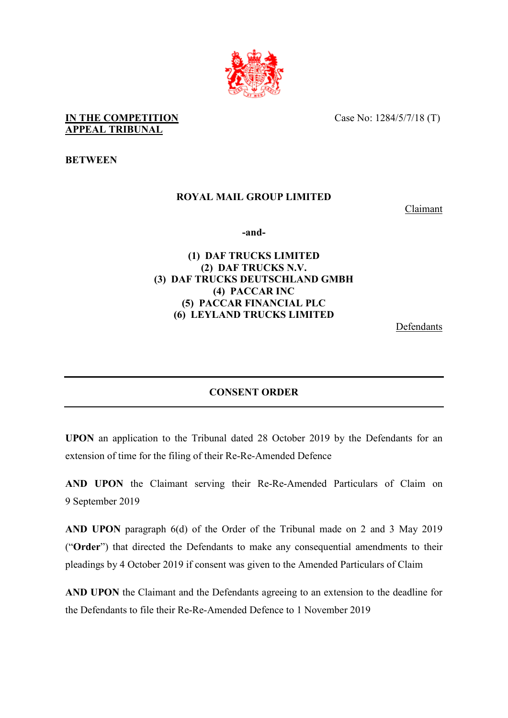

#### **IN THE COMPETITION** Case No: 1284/5/7/18 (T) **APPEAL TRIBUNAL**

**BETWEEN**

# **ROYAL MAIL GROUP LIMITED**

Claimant

**-and-** 

## **(1) DAF TRUCKS LIMITED (2) DAF TRUCKS N.V. (3) DAF TRUCKS DEUTSCHLAND GMBH (4) PACCAR INC (5) PACCAR FINANCIAL PLC (6) LEYLAND TRUCKS LIMITED**

**Defendants** 

#### **CONSENT ORDER**

**UPON** an application to the Tribunal dated 28 October 2019 by the Defendants for an extension of time for the filing of their Re-Re-Amended Defence

**AND UPON** the Claimant serving their Re-Re-Amended Particulars of Claim on 9 September 2019

**AND UPON** paragraph 6(d) of the Order of the Tribunal made on 2 and 3 May 2019 ("**Order**") that directed the Defendants to make any consequential amendments to their pleadings by 4 October 2019 if consent was given to the Amended Particulars of Claim

**AND UPON** the Claimant and the Defendants agreeing to an extension to the deadline for the Defendants to file their Re-Re-Amended Defence to 1 November 2019